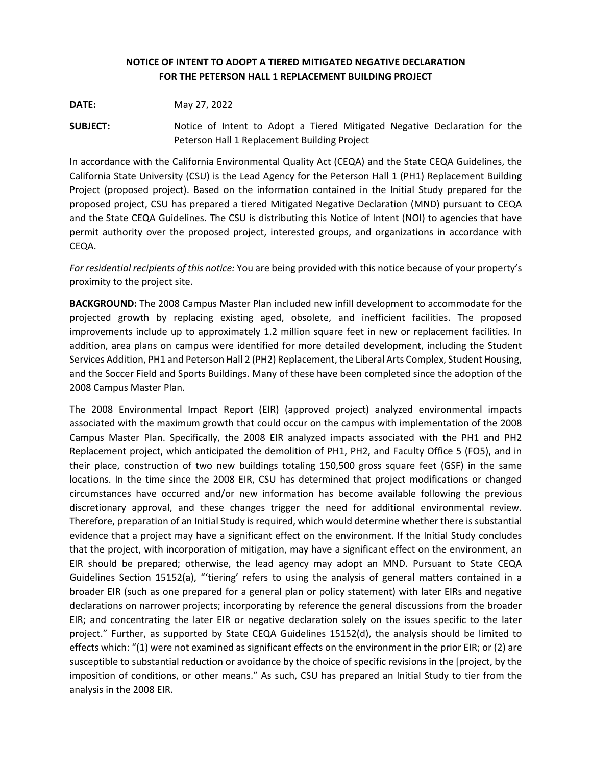## **NOTICE OF INTENT TO ADOPT A TIERED MITIGATED NEGATIVE DECLARATION FOR THE PETERSON HALL 1 REPLACEMENT BUILDING PROJECT**

**DATE:** May 27, 2022

**SUBJECT:** Notice of Intent to Adopt a Tiered Mitigated Negative Declaration for the Peterson Hall 1 Replacement Building Project

In accordance with the California Environmental Quality Act (CEQA) and the State CEQA Guidelines, the California State University (CSU) is the Lead Agency for the Peterson Hall 1 (PH1) Replacement Building Project (proposed project). Based on the information contained in the Initial Study prepared for the proposed project, CSU has prepared a tiered Mitigated Negative Declaration (MND) pursuant to CEQA and the State CEQA Guidelines. The CSU is distributing this Notice of Intent (NOI) to agencies that have permit authority over the proposed project, interested groups, and organizations in accordance with CEQA.

*For residential recipients of this notice:* You are being provided with this notice because of your property's proximity to the project site.

**BACKGROUND:** The 2008 Campus Master Plan included new infill development to accommodate for the projected growth by replacing existing aged, obsolete, and inefficient facilities. The proposed improvements include up to approximately 1.2 million square feet in new or replacement facilities. In addition, area plans on campus were identified for more detailed development, including the Student Services Addition, PH1 and Peterson Hall 2 (PH2) Replacement, the Liberal Arts Complex, Student Housing, and the Soccer Field and Sports Buildings. Many of these have been completed since the adoption of the 2008 Campus Master Plan.

The 2008 Environmental Impact Report (EIR) (approved project) analyzed environmental impacts associated with the maximum growth that could occur on the campus with implementation of the 2008 Campus Master Plan. Specifically, the 2008 EIR analyzed impacts associated with the PH1 and PH2 Replacement project, which anticipated the demolition of PH1, PH2, and Faculty Office 5 (FO5), and in their place, construction of two new buildings totaling 150,500 gross square feet (GSF) in the same locations. In the time since the 2008 EIR, CSU has determined that project modifications or changed circumstances have occurred and/or new information has become available following the previous discretionary approval, and these changes trigger the need for additional environmental review. Therefore, preparation of an Initial Study is required, which would determine whether there is substantial evidence that a project may have a significant effect on the environment. If the Initial Study concludes that the project, with incorporation of mitigation, may have a significant effect on the environment, an EIR should be prepared; otherwise, the lead agency may adopt an MND. Pursuant to State CEQA Guidelines Section 15152(a), "'tiering' refers to using the analysis of general matters contained in a broader EIR (such as one prepared for a general plan or policy statement) with later EIRs and negative declarations on narrower projects; incorporating by reference the general discussions from the broader EIR; and concentrating the later EIR or negative declaration solely on the issues specific to the later project." Further, as supported by State CEQA Guidelines 15152(d), the analysis should be limited to effects which: "(1) were not examined as significant effects on the environment in the prior EIR; or (2) are susceptible to substantial reduction or avoidance by the choice of specific revisions in the [project, by the imposition of conditions, or other means." As such, CSU has prepared an Initial Study to tier from the analysis in the 2008 EIR.